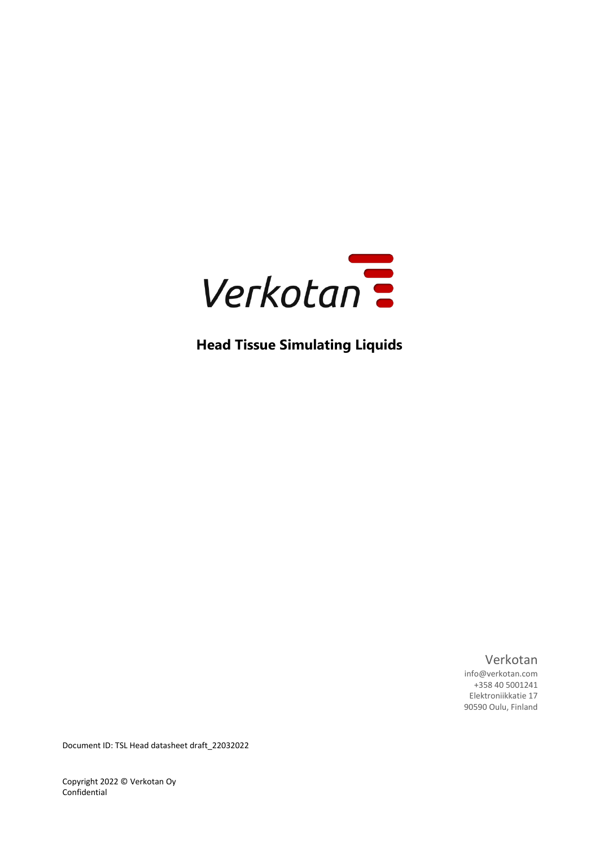

**Head Tissue Simulating Liquids**

Verkotan

info@verkotan.com +358 40 5001241 Elektroniikkatie 17 90590 Oulu, Finland

Document ID: TSL Head datasheet draft\_22032022

Copyright 2022 © Verkotan Oy Confidential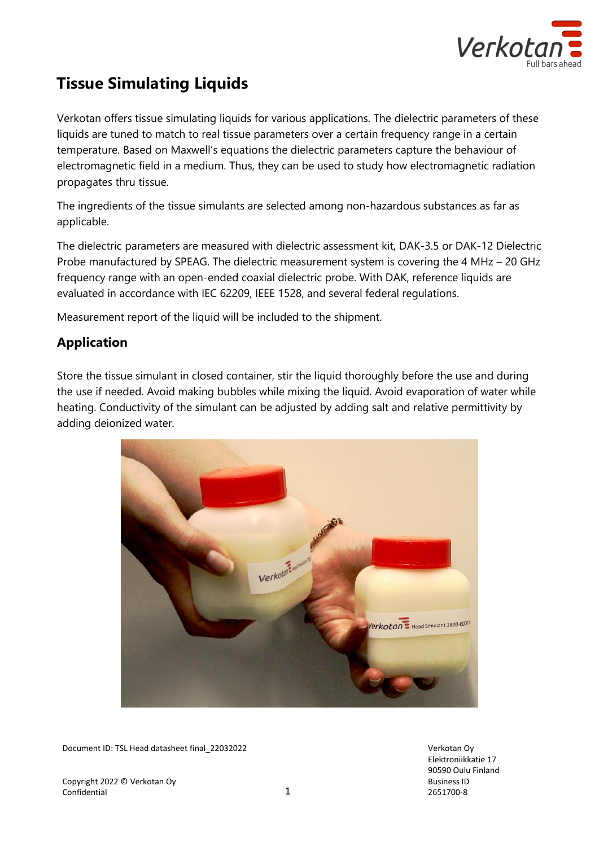

# **Tissue Simulating Liquids**

Verkotan offers tissue simulating liquids for various applications. The dielectric parameters of these liquids are tuned to match to real tissue parameters over a certain frequency range in a certain temperature. Based on Maxwell's equations the dielectric parameters capture the behaviour of electromagnetic field in a medium. Thus, they can be used to study how electromagnetic radiation propagates thru tissue.

The ingredients of the tissue simulants are selected among non-hazardous substances as far as applicable.

The dielectric parameters are measured with dielectric assessment kit, DAK-3.5 or DAK-12 Dielectric Probe manufactured by SPEAG. The dielectric measurement system is covering the 4 MHz – 20 GHz frequency range with an open-ended coaxial dielectric probe. With DAK, reference liquids are evaluated in accordance with IEC 62209, IEEE 1528, and several federal regulations.

Measurement report of the liquid will be included to the shipment.

# **Application**

Store the tissue simulant in closed container, stir the liquid thoroughly before the use and during the use if needed. Avoid making bubbles while mixing the liquid. Avoid evaporation of water while heating. Conductivity of the simulant can be adjusted by adding salt and relative permittivity by adding deionized water.



Document ID: TSL Head datasheet final\_22032022 Verkotan Oy

Copyright 2022 © Verkotan Oy Confidential 2012 12:00 12:00 12:00 12:00 12:00 12:00 12:00 12:00 12:00 12:00 12:00 12:00 12:00 12:00 12:00 12:00 12:00 12:00 12:00 12:00 12:00 12:00 12:00 12:00 12:00 12:00 12:00 12:00 12:00 12:00 12:00 12:00 12:00 12:00 Elektroniikkatie 17 90590 Oulu Finland Business ID 2651700-8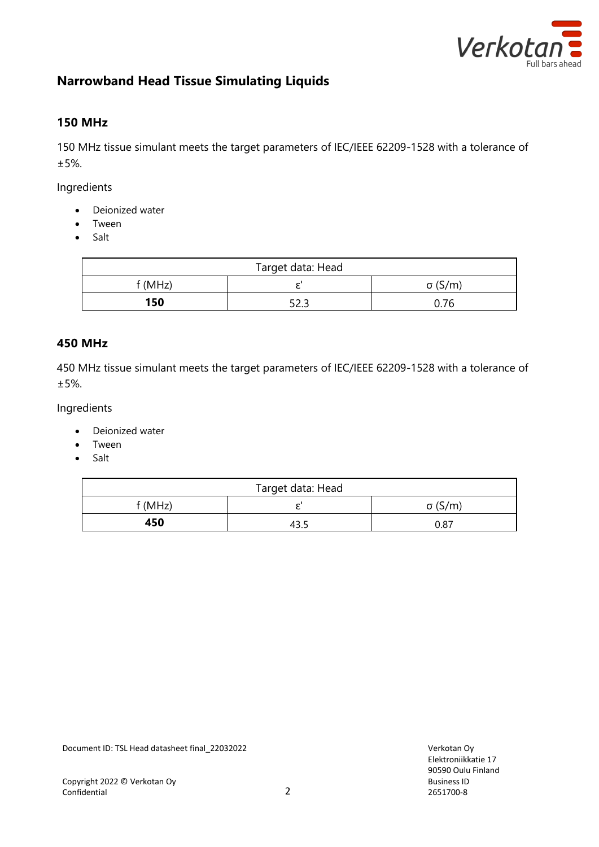

# **Narrowband Head Tissue Simulating Liquids**

## **150 MHz**

150 MHz tissue simulant meets the target parameters of IEC/IEEE 62209-1528 with a tolerance of ±5%.

Ingredients

- Deionized water
- Tween
- Salt

| Target data: Head |      |                |
|-------------------|------|----------------|
| f(MHz)            |      | $\sigma$ (S/m) |
| 150               | 52.3 | 0.76           |

#### **450 MHz**

450 MHz tissue simulant meets the target parameters of IEC/IEEE 62209-1528 with a tolerance of ±5%.

Ingredients

- Deionized water
- Tween
- Salt

| Target data: Head |  |                |
|-------------------|--|----------------|
| f (MHz)           |  | $\sigma$ (S/m) |
| 450               |  | 0.87           |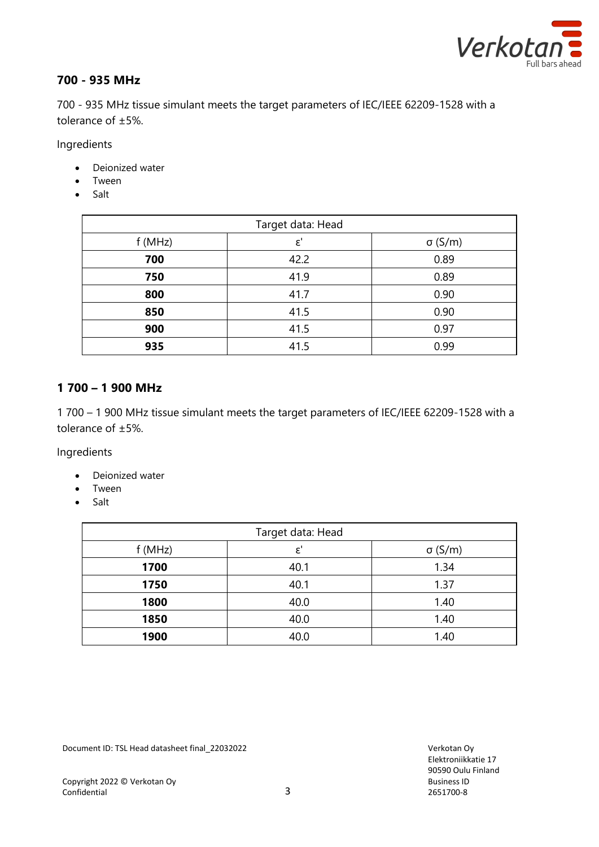

# **700 - 935 MHz**

700 - 935 MHz tissue simulant meets the target parameters of IEC/IEEE 62209-1528 with a tolerance of ±5%.

Ingredients

- Deionized water
- Tween
- Salt

| Target data: Head |                |                |
|-------------------|----------------|----------------|
| f(MHz)            | $\varepsilon'$ | $\sigma$ (S/m) |
| 700               | 42.2           | 0.89           |
| 750               | 41.9           | 0.89           |
| 800               | 41.7           | 0.90           |
| 850               | 41.5           | 0.90           |
| 900               | 41.5           | 0.97           |
| 935               | 41.5           | 0.99           |

#### **1 700 – 1 900 MHz**

1 700 – 1 900 MHz tissue simulant meets the target parameters of IEC/IEEE 62209-1528 with a tolerance of ±5%.

Ingredients

- Deionized water
- Tween
- Salt

| Target data: Head |               |                |  |
|-------------------|---------------|----------------|--|
| f(MHz)            | $\varepsilon$ | $\sigma$ (S/m) |  |
| 1700              | 40.1          | 1.34           |  |
| 1750              | 40.1          | 1.37           |  |
| 1800              | 40.0          | 1.40           |  |
| 1850              | 40.0          | 1.40           |  |
| 1900              | 40.0          | 1.40           |  |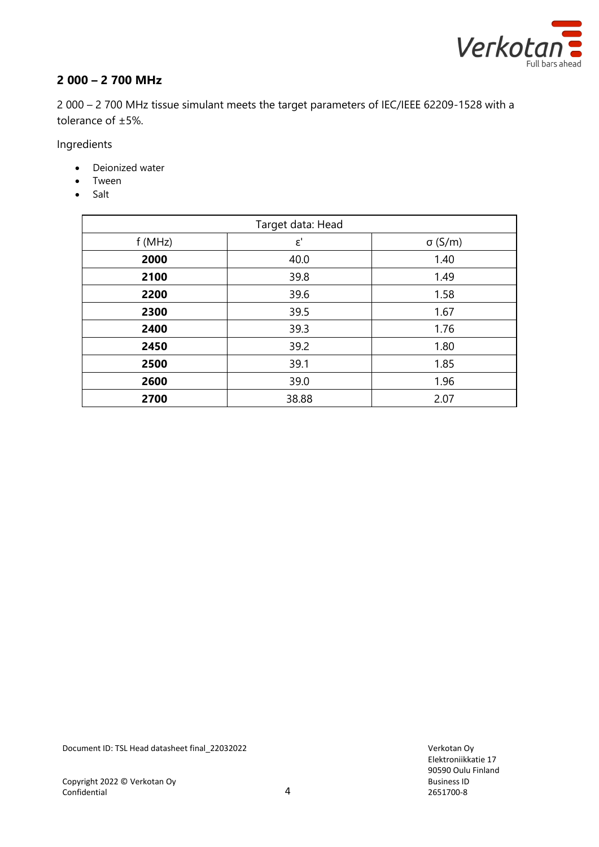

# **2 000 – 2 700 MHz**

2 000 – 2 700 MHz tissue simulant meets the target parameters of IEC/IEEE 62209-1528 with a tolerance of ±5%.

Ingredients

- Deionized water
- Tween
- Salt

| Target data: Head |             |                |
|-------------------|-------------|----------------|
| f(MHz)            | $\epsilon'$ | $\sigma$ (S/m) |
| 2000              | 40.0        | 1.40           |
| 2100              | 39.8        | 1.49           |
| 2200              | 39.6        | 1.58           |
| 2300              | 39.5        | 1.67           |
| 2400              | 39.3        | 1.76           |
| 2450              | 39.2        | 1.80           |
| 2500              | 39.1        | 1.85           |
| 2600              | 39.0        | 1.96           |
| 2700              | 38.88       | 2.07           |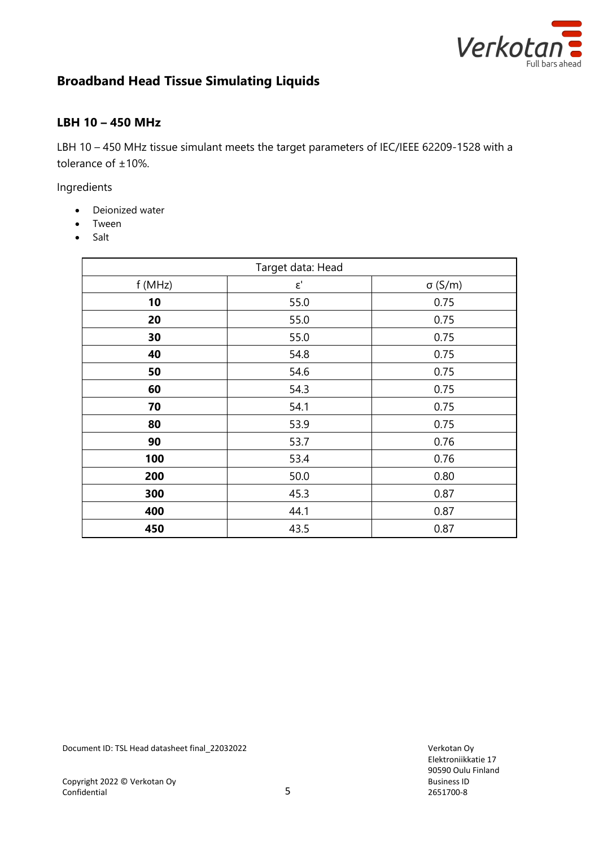

# **Broadband Head Tissue Simulating Liquids**

#### **LBH 10 – 450 MHz**

LBH 10 – 450 MHz tissue simulant meets the target parameters of IEC/IEEE 62209-1528 with a tolerance of ±10%.

Ingredients

- Deionized water
- Tween
- Salt

| Target data: Head |             |                |
|-------------------|-------------|----------------|
| f (MHz)           | $\epsilon'$ | $\sigma$ (S/m) |
| 10                | 55.0        | 0.75           |
| 20                | 55.0        | 0.75           |
| 30                | 55.0        | 0.75           |
| 40                | 54.8        | 0.75           |
| 50                | 54.6        | 0.75           |
| 60                | 54.3        | 0.75           |
| 70                | 54.1        | 0.75           |
| 80                | 53.9        | 0.75           |
| 90                | 53.7        | 0.76           |
| 100               | 53.4        | 0.76           |
| 200               | 50.0        | 0.80           |
| 300               | 45.3        | 0.87           |
| 400               | 44.1        | 0.87           |
| 450               | 43.5        | 0.87           |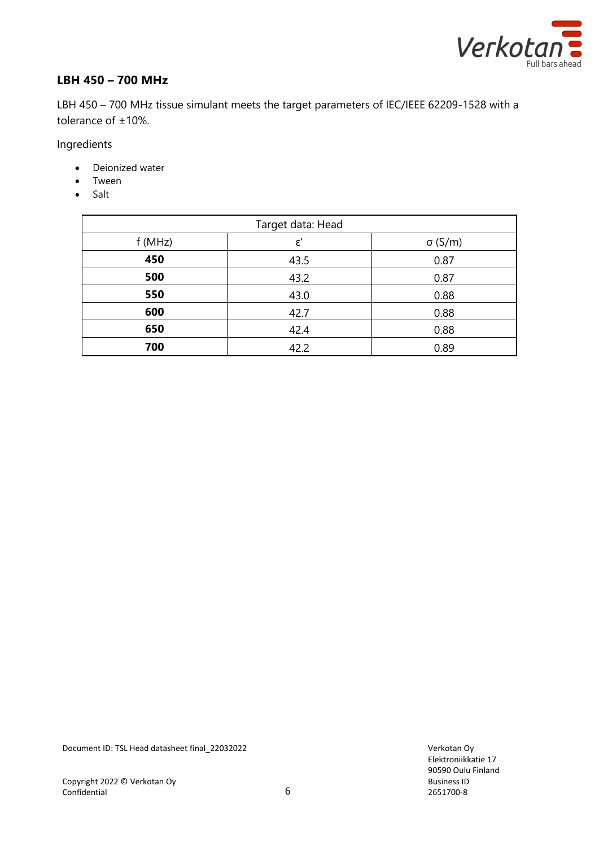

## **LBH 450 – 700 MHz**

LBH 450 – 700 MHz tissue simulant meets the target parameters of IEC/IEEE 62209-1528 with a tolerance of ±10%.

Ingredients

- Deionized water
- Tween
- Salt

| Target data: Head |                |                |  |
|-------------------|----------------|----------------|--|
| f(MHz)            | $\varepsilon'$ | $\sigma$ (S/m) |  |
| 450               | 43.5           | 0.87           |  |
| 500               | 43.2           | 0.87           |  |
| 550               | 43.0           | 0.88           |  |
| 600               | 42.7           | 0.88           |  |
| 650               | 42.4           | 0.88           |  |
| 700               | 42.2           | 0.89           |  |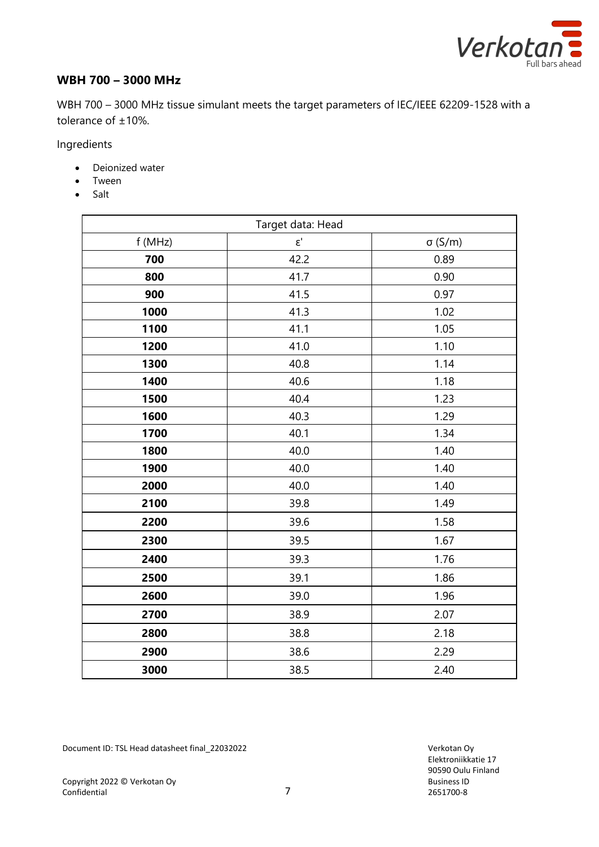

### **WBH 700 – 3000 MHz**

WBH 700 – 3000 MHz tissue simulant meets the target parameters of IEC/IEEE 62209-1528 with a tolerance of ±10%.

Ingredients

- Deionized water
- Tween
- Salt

| Target data: Head |                            |                |
|-------------------|----------------------------|----------------|
| f (MHz)           | $\epsilon^\text{\tiny{l}}$ | $\sigma$ (S/m) |
| 700               | 42.2                       | 0.89           |
| 800               | 41.7                       | 0.90           |
| 900               | 41.5                       | 0.97           |
| 1000              | 41.3                       | 1.02           |
| 1100              | 41.1                       | 1.05           |
| 1200              | 41.0                       | 1.10           |
| 1300              | 40.8                       | 1.14           |
| 1400              | 40.6                       | 1.18           |
| 1500              | 40.4                       | 1.23           |
| 1600              | 40.3                       | 1.29           |
| 1700              | 40.1                       | 1.34           |
| 1800              | 40.0                       | 1.40           |
| 1900              | 40.0                       | 1.40           |
| 2000              | 40.0                       | 1.40           |
| 2100              | 39.8                       | 1.49           |
| 2200              | 39.6                       | 1.58           |
| 2300              | 39.5                       | 1.67           |
| 2400              | 39.3                       | 1.76           |
| 2500              | 39.1                       | 1.86           |
| 2600              | 39.0                       | 1.96           |
| 2700              | 38.9                       | 2.07           |
| 2800              | 38.8                       | 2.18           |
| 2900              | 38.6                       | 2.29           |
| 3000              | 38.5                       | 2.40           |